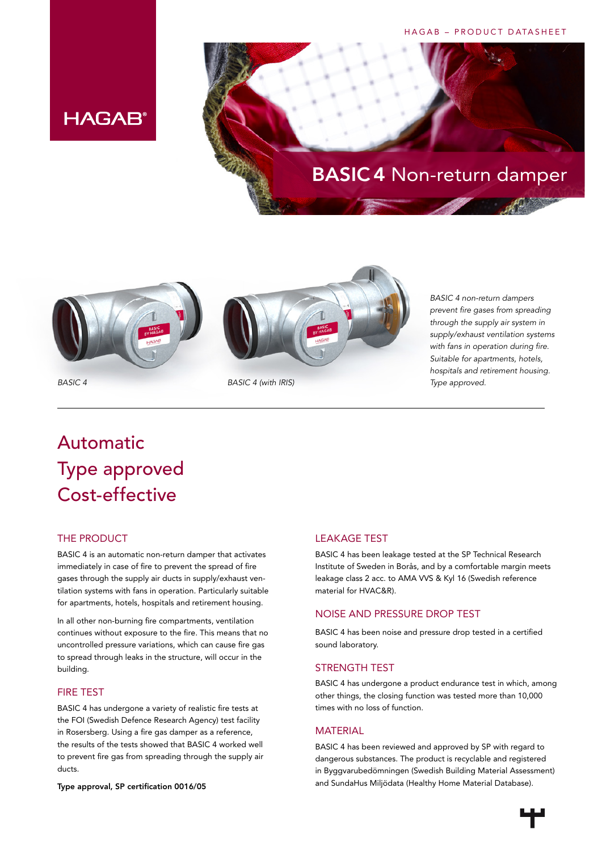### HAGAB – PRODUCT DATASHEET

### **HAGAB®**





*BASIC 4 non-return dampers prevent fire gases from spreading through the supply air system in supply/exhaust ventilation systems with fans in operation during fire. Suitable for apartments, hotels, hospitals and retirement housing. Type approved.*

### Automatic Type approved Cost-effective

### THE PRODUCT

BASIC 4 is an automatic non-return damper that activates immediately in case of fire to prevent the spread of fire gases through the supply air ducts in supply/exhaust ventilation systems with fans in operation. Particularly suitable for apartments, hotels, hospitals and retirement housing.

In all other non-burning fire compartments, ventilation continues without exposure to the fire. This means that no uncontrolled pressure variations, which can cause fire gas to spread through leaks in the structure, will occur in the building.

### FIRE TEST

BASIC 4 has undergone a variety of realistic fire tests at the FOI (Swedish Defence Research Agency) test facility in Rosersberg. Using a fire gas damper as a reference, the results of the tests showed that BASIC 4 worked well to prevent fire gas from spreading through the supply air ducts.

Type approval, SP certification 0016/05

### LEAKAGE TEST

BASIC 4 has been leakage tested at the SP Technical Research Institute of Sweden in Borås, and by a comfortable margin meets leakage class 2 acc. to AMA VVS & Kyl 16 (Swedish reference material for HVAC&R).

### NOISE AND PRESSURE DROP TEST

BASIC 4 has been noise and pressure drop tested in a certified sound laboratory.

### STRENGTH TEST

BASIC 4 has undergone a product endurance test in which, among other things, the closing function was tested more than 10,000 times with no loss of function.

### MATERIAL

BASIC 4 has been reviewed and approved by SP with regard to dangerous substances. The product is recyclable and registered in Byggvarubedömningen (Swedish Building Material Assessment) and SundaHus Miljödata (Healthy Home Material Database).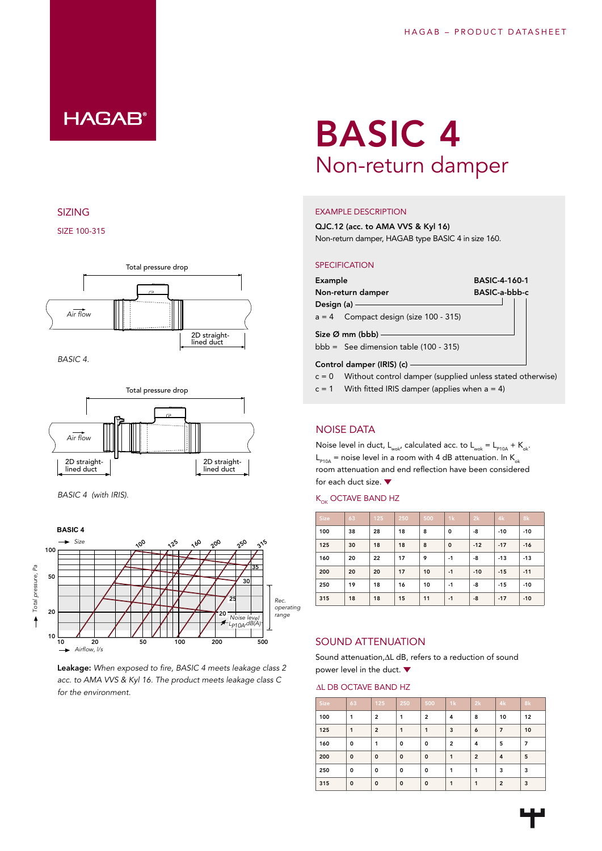

### SIZING

SIZE 100-315



*BASIC 4.*



*BASIC 4 (with IRIS).*



Leakage: *When exposed to fire, BASIC 4 meets leakage class 2 acc. to AMA VVS & Kyl 16. The product meets leakage class C for the environment.*

# BASIC 4 Non-return damper

### EXAMPLE DESCRIPTION

QJC.12 (acc. to AMA VVS & Kyl 16) Non-return damper, HAGAB type BASIC 4 in size 160.

### **SPECIFICATION**

| Example                                                                  | <b>BASIC-4-160-1</b> |  |  |  |  |
|--------------------------------------------------------------------------|----------------------|--|--|--|--|
| Non-return damper                                                        | BASIC-a-bbb-c        |  |  |  |  |
| Design $(a)$ –                                                           |                      |  |  |  |  |
| $a = 4$ Compact design (size 100 - 315)                                  |                      |  |  |  |  |
| Size $\varnothing$ mm (bbb) —<br>$bbb = See dimension table (100 - 315)$ |                      |  |  |  |  |
| Control damper (IRIS) (c) -                                              |                      |  |  |  |  |

- $c = 0$  Without control damper (supplied unless stated otherwise)
- $c = 1$  With fitted IRIS damper (applies when  $a = 4$ )

### NOISE DATA

Noise level in duct,  $L_{wok}$ , calculated acc. to  $L_{wok} = L_{p10A} + K_{ok}$ .  $L_{p10A}$  = noise level in a room with 4 dB attenuation. In K<sub>ok</sub> room attenuation and end reflection have been considered for each duct size.

### $K_{OK}$  OCTAVE BAND HZ

| Size | 63 | 125 | 250 | 500 | 1k       | 2k    | 4k    | 8k    |
|------|----|-----|-----|-----|----------|-------|-------|-------|
| 100  | 38 | 28  | 18  | 8   | 0        | -8    | $-10$ | $-10$ |
| 125  | 30 | 18  | 18  | 8   | $\Omega$ | $-12$ | $-17$ | $-16$ |
| 160  | 20 | 22  | 17  | 9   | $-1$     | -8    | $-13$ | $-13$ |
| 200  | 20 | 20  | 17  | 10  | $-1$     | $-10$ | $-15$ | $-11$ |
| 250  | 19 | 18  | 16  | 10  | $-1$     | -8    | $-15$ | $-10$ |
| 315  | 18 | 18  | 15  | 11  | $-1$     | -8    | $-17$ | $-10$ |

### SOUND ATTENUATION

Sound attenuation, AL dB, refers to a reduction of sound power level in the duct. ▼

#### AL DB OCTAVE BAND HZ

| Size | 63           | 125            | 250          | 500            | 1k             | 2k             | 4k             | 8k |
|------|--------------|----------------|--------------|----------------|----------------|----------------|----------------|----|
| 100  | 1            | $\overline{2}$ | 1            | $\overline{2}$ | 4              | 8              | 10             | 12 |
| 125  | 1            | $\overline{2}$ | 1            | 1              | 3              | 6              | $\overline{7}$ | 10 |
| 160  | 0            | 1              | $\mathbf{o}$ | 0              | $\overline{2}$ | 4              | 5              | 7  |
| 200  | $\mathbf 0$  | $\mathbf 0$    | $\mathbf 0$  | $\mathbf 0$    | 1              | $\overline{2}$ | 4              | 5  |
| 250  | $\mathbf{o}$ | 0              | $\mathbf 0$  | $\mathbf 0$    | 1              | 1              | 3              | 3  |
| 315  | $\mathbf 0$  | $\mathbf 0$    | $\mathbf{o}$ | $\mathbf 0$    | 1              | 1              | $\overline{2}$ | 3  |